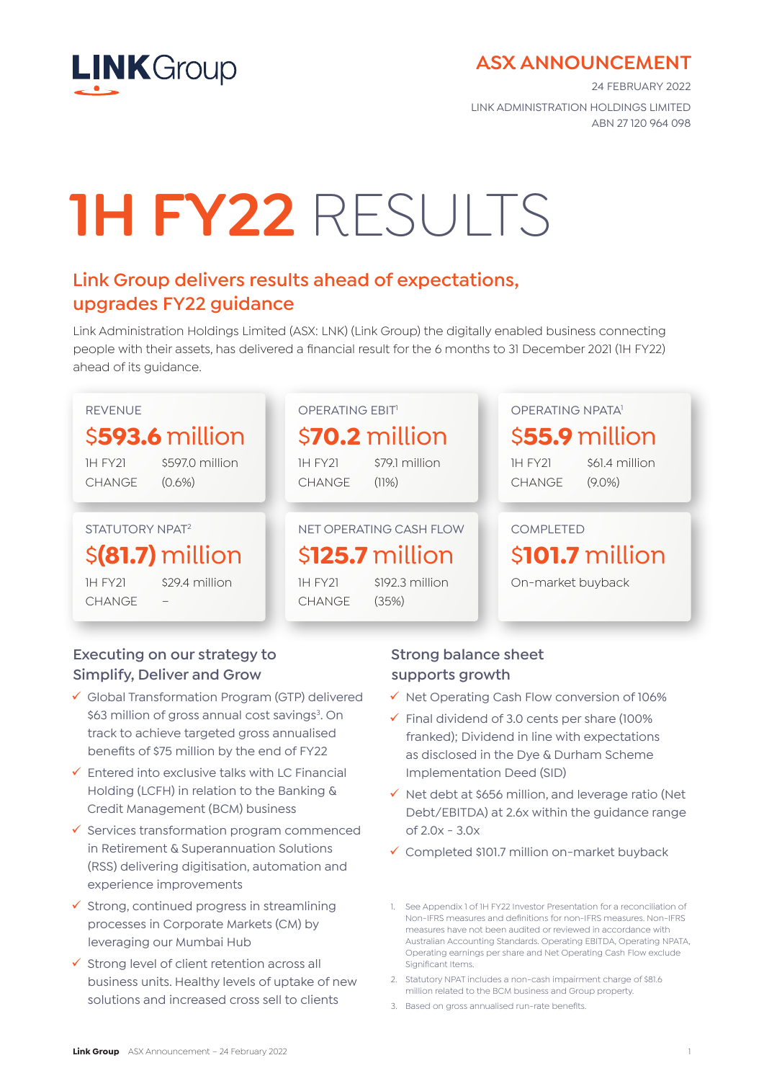

## **ASX ANNOUNCEMENT**

24 FEBRUARY 2022 LINK ADMINISTRATION HOLDINGS LIMITED ABN 27 120 964 098

# **1H FY22** RESULTS

# **Link Group delivers results ahead of expectations, upgrades FY22 guidance**

Link Administration Holdings Limited (ASX: LNK) (Link Group) the digitally enabled business connecting people with their assets, has delivered a financial result for the 6 months to 31 December 2021 (1H FY22) ahead of its guidance.



## **Executing on our strategy to Simplify, Deliver and Grow**

- $\checkmark$  Global Transformation Program (GTP) delivered \$63 million of gross annual cost savings<sup>3</sup>. On track to achieve targeted gross annualised benefits of \$75 million by the end of FY22
- $\checkmark$  Entered into exclusive talks with LC Financial Holding (LCFH) in relation to the Banking & Credit Management (BCM) business
- $\checkmark$  Services transformation program commenced in Retirement & Superannuation Solutions (RSS) delivering digitisation, automation and experience improvements
- $\checkmark$  Strong, continued progress in streamlining processes in Corporate Markets (CM) by leveraging our Mumbai Hub
- $\checkmark$  Strong level of client retention across all business units. Healthy levels of uptake of new solutions and increased cross sell to clients

### **Strong balance sheet supports growth**

- $\checkmark$  Net Operating Cash Flow conversion of 106%
- $\checkmark$  Final dividend of 3.0 cents per share (100%) franked); Dividend in line with expectations as disclosed in the Dye & Durham Scheme Implementation Deed (SID)
- $\checkmark$  Net debt at \$656 million, and leverage ratio (Net Debt/EBITDA) at 2.6x within the guidance range of 2.0x - 3.0x
- $\checkmark$  Completed \$101.7 million on-market buyback
- 1. See Appendix 1 of 1H FY22 Investor Presentation for a reconciliation of Non-IFRS measures and definitions for non-IFRS measures. Non-IFRS measures have not been audited or reviewed in accordance with Australian Accounting Standards. Operating EBITDA, Operating NPATA, Operating earnings per share and Net Operating Cash Flow exclude Significant Items.
- 2. Statutory NPAT includes a non-cash impairment charge of \$81.6 million related to the BCM business and Group property.
- 3. Based on gross annualised run-rate benefits.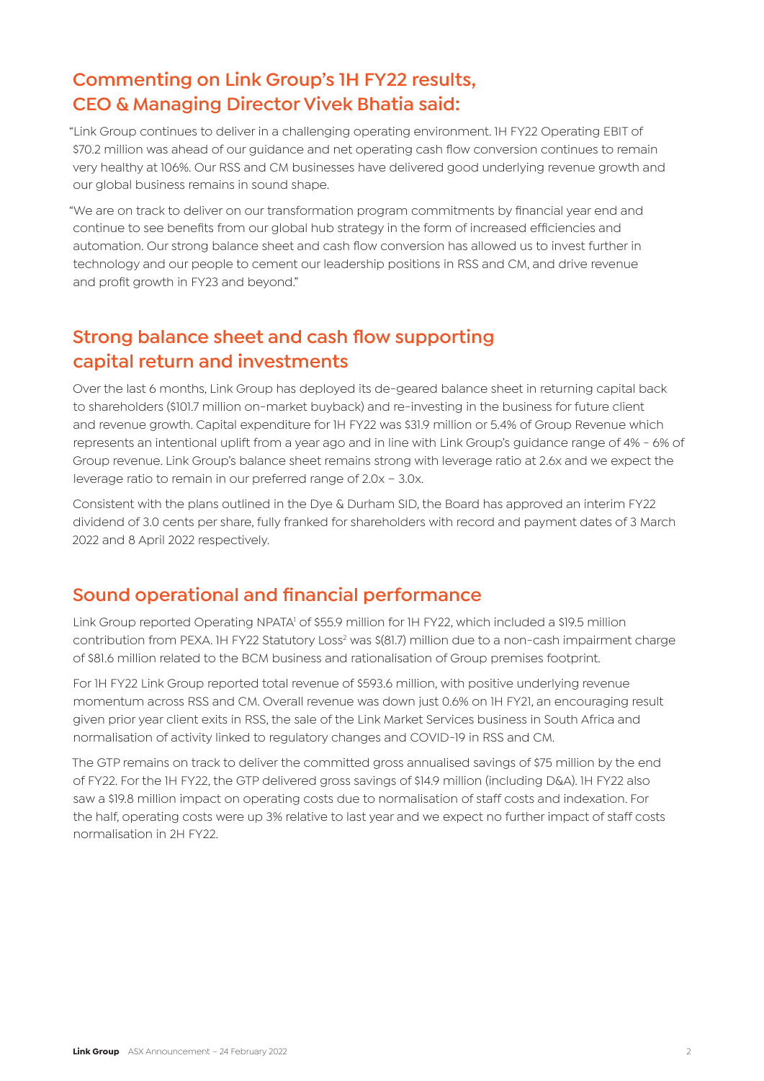# **Commenting on Link Group's 1H FY22 results, CEO & Managing Director Vivek Bhatia said:**

"Link Group continues to deliver in a challenging operating environment. 1H FY22 Operating EBIT of \$70.2 million was ahead of our guidance and net operating cash flow conversion continues to remain very healthy at 106%. Our RSS and CM businesses have delivered good underlying revenue growth and our global business remains in sound shape.

"We are on track to deliver on our transformation program commitments by financial year end and continue to see benefits from our global hub strategy in the form of increased efficiencies and automation. Our strong balance sheet and cash flow conversion has allowed us to invest further in technology and our people to cement our leadership positions in RSS and CM, and drive revenue and profit growth in FY23 and beyond."

## **Strong balance sheet and cash flow supporting capital return and investments**

Over the last 6 months, Link Group has deployed its de-geared balance sheet in returning capital back to shareholders (\$101.7 million on-market buyback) and re-investing in the business for future client and revenue growth. Capital expenditure for 1H FY22 was \$31.9 million or 5.4% of Group Revenue which represents an intentional uplift from a year ago and in line with Link Group's guidance range of 4% - 6% of Group revenue. Link Group's balance sheet remains strong with leverage ratio at 2.6x and we expect the leverage ratio to remain in our preferred range of 2.0x – 3.0x.

Consistent with the plans outlined in the Dye & Durham SID, the Board has approved an interim FY22 dividend of 3.0 cents per share, fully franked for shareholders with record and payment dates of 3 March 2022 and 8 April 2022 respectively.

## **Sound operational and financial performance**

Link Group reported Operating NPATA<sup>1</sup> of \$55.9 million for 1H FY22, which included a \$19.5 million contribution from PEXA. 1H FY22 Statutory Loss<sup>2</sup> was \$(81.7) million due to a non-cash impairment charge of \$81.6 million related to the BCM business and rationalisation of Group premises footprint.

For 1H FY22 Link Group reported total revenue of \$593.6 million, with positive underlying revenue momentum across RSS and CM. Overall revenue was down just 0.6% on 1H FY21, an encouraging result given prior year client exits in RSS, the sale of the Link Market Services business in South Africa and normalisation of activity linked to regulatory changes and COVID-19 in RSS and CM.

The GTP remains on track to deliver the committed gross annualised savings of \$75 million by the end of FY22. For the 1H FY22, the GTP delivered gross savings of \$14.9 million (including D&A). 1H FY22 also saw a \$19.8 million impact on operating costs due to normalisation of staff costs and indexation. For the half, operating costs were up 3% relative to last year and we expect no further impact of staff costs normalisation in 2H FY22.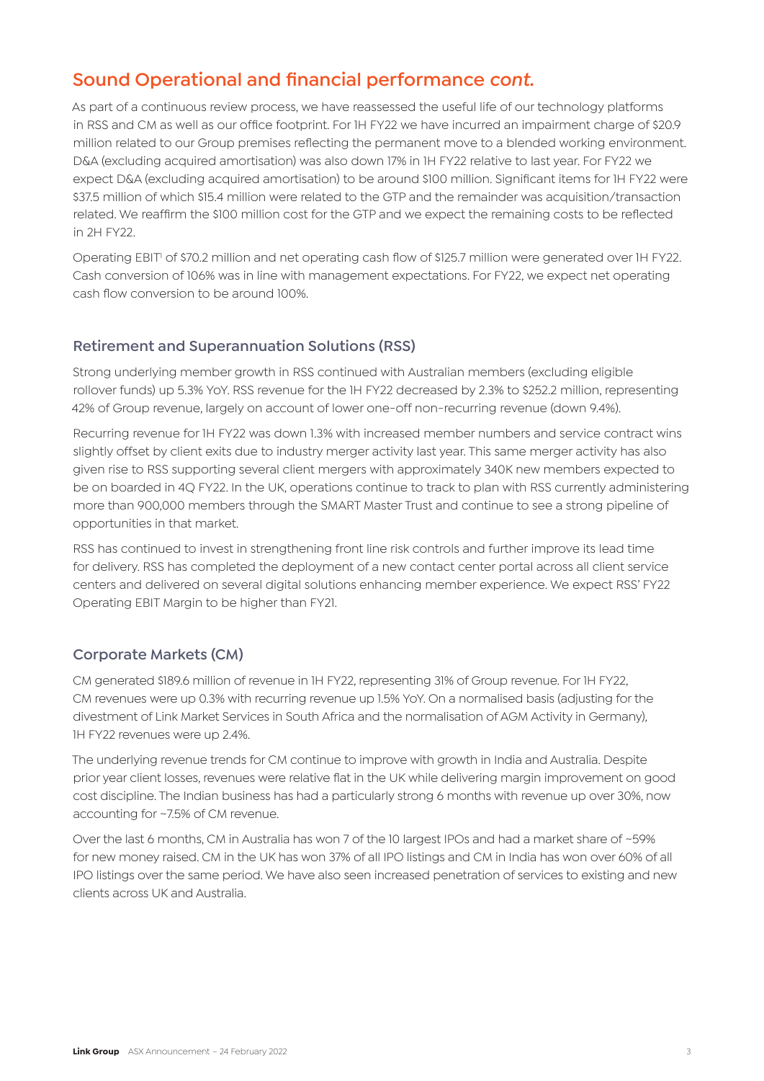## **Sound Operational and financial performance** *cont.*

As part of a continuous review process, we have reassessed the useful life of our technology platforms in RSS and CM as well as our office footprint. For 1H FY22 we have incurred an impairment charge of \$20.9 million related to our Group premises reflecting the permanent move to a blended working environment. D&A (excluding acquired amortisation) was also down 17% in 1H FY22 relative to last year. For FY22 we expect D&A (excluding acquired amortisation) to be around \$100 million. Significant items for 1H FY22 were \$37.5 million of which \$15.4 million were related to the GTP and the remainder was acquisition/transaction related. We reaffirm the \$100 million cost for the GTP and we expect the remaining costs to be reflected in 2H FY22.

Operating EBIT<sup>1</sup> of \$70.2 million and net operating cash flow of \$125.7 million were generated over 1H FY22. Cash conversion of 106% was in line with management expectations. For FY22, we expect net operating cash flow conversion to be around 100%.

#### **Retirement and Superannuation Solutions (RSS)**

Strong underlying member growth in RSS continued with Australian members (excluding eligible rollover funds) up 5.3% YoY. RSS revenue for the 1H FY22 decreased by 2.3% to \$252.2 million, representing 42% of Group revenue, largely on account of lower one-off non-recurring revenue (down 9.4%).

Recurring revenue for 1H FY22 was down 1.3% with increased member numbers and service contract wins slightly offset by client exits due to industry merger activity last year. This same merger activity has also given rise to RSS supporting several client mergers with approximately 340K new members expected to be on boarded in 4Q FY22. In the UK, operations continue to track to plan with RSS currently administering more than 900,000 members through the SMART Master Trust and continue to see a strong pipeline of opportunities in that market.

RSS has continued to invest in strengthening front line risk controls and further improve its lead time for delivery. RSS has completed the deployment of a new contact center portal across all client service centers and delivered on several digital solutions enhancing member experience. We expect RSS' FY22 Operating EBIT Margin to be higher than FY21.

#### **Corporate Markets (CM)**

CM generated \$189.6 million of revenue in 1H FY22, representing 31% of Group revenue. For 1H FY22, CM revenues were up 0.3% with recurring revenue up 1.5% YoY. On a normalised basis (adjusting for the divestment of Link Market Services in South Africa and the normalisation of AGM Activity in Germany), 1H FY22 revenues were up 2.4%.

The underlying revenue trends for CM continue to improve with growth in India and Australia. Despite prior year client losses, revenues were relative flat in the UK while delivering margin improvement on good cost discipline. The Indian business has had a particularly strong 6 months with revenue up over 30%, now accounting for ~7.5% of CM revenue.

Over the last 6 months, CM in Australia has won 7 of the 10 largest IPOs and had a market share of ~59% for new money raised. CM in the UK has won 37% of all IPO listings and CM in India has won over 60% of all IPO listings over the same period. We have also seen increased penetration of services to existing and new clients across UK and Australia.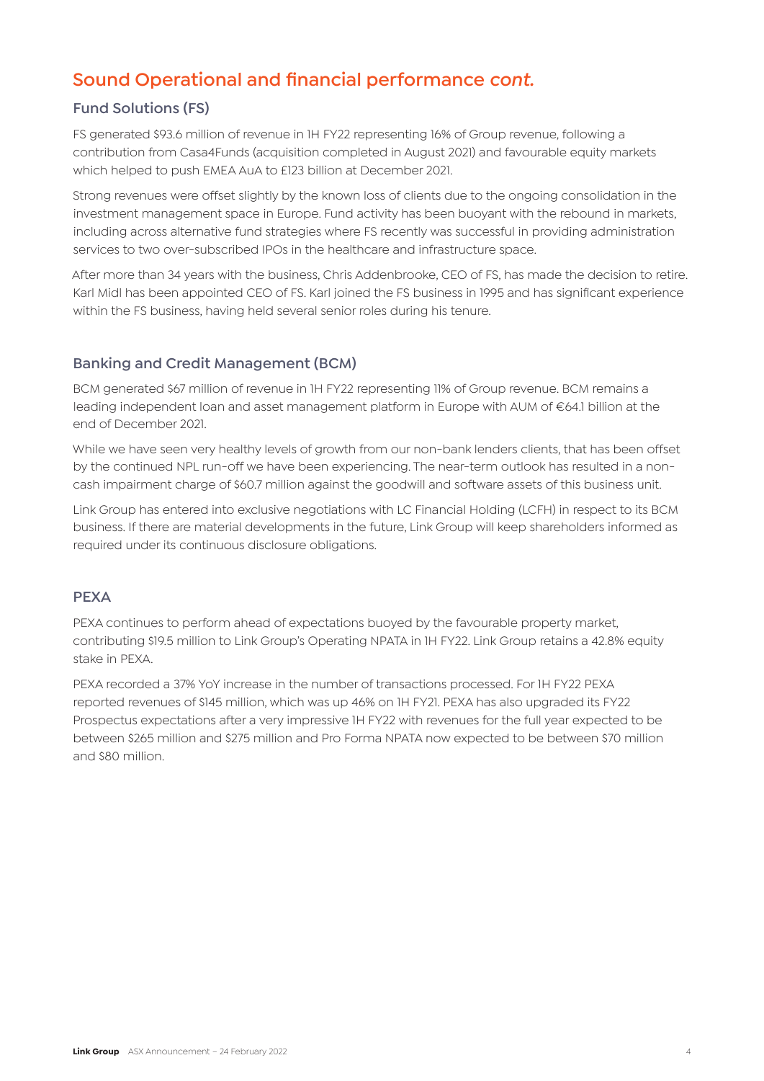# **Sound Operational and financial performance** *cont.*

#### **Fund Solutions (FS)**

FS generated \$93.6 million of revenue in 1H FY22 representing 16% of Group revenue, following a contribution from Casa4Funds (acquisition completed in August 2021) and favourable equity markets which helped to push EMEA AuA to £123 billion at December 2021.

Strong revenues were offset slightly by the known loss of clients due to the ongoing consolidation in the investment management space in Europe. Fund activity has been buoyant with the rebound in markets, including across alternative fund strategies where FS recently was successful in providing administration services to two over-subscribed IPOs in the healthcare and infrastructure space.

After more than 34 years with the business, Chris Addenbrooke, CEO of FS, has made the decision to retire. Karl Midl has been appointed CEO of FS. Karl joined the FS business in 1995 and has significant experience within the FS business, having held several senior roles during his tenure.

#### **Banking and Credit Management (BCM)**

BCM generated \$67 million of revenue in 1H FY22 representing 11% of Group revenue. BCM remains a leading independent loan and asset management platform in Europe with AUM of €64.1 billion at the end of December 2021.

While we have seen very healthy levels of growth from our non-bank lenders clients, that has been offset by the continued NPL run-off we have been experiencing. The near-term outlook has resulted in a noncash impairment charge of \$60.7 million against the goodwill and software assets of this business unit.

Link Group has entered into exclusive negotiations with LC Financial Holding (LCFH) in respect to its BCM business. If there are material developments in the future, Link Group will keep shareholders informed as required under its continuous disclosure obligations.

#### **PEXA**

PEXA continues to perform ahead of expectations buoyed by the favourable property market, contributing \$19.5 million to Link Group's Operating NPATA in 1H FY22. Link Group retains a 42.8% equity stake in PEXA.

PEXA recorded a 37% YoY increase in the number of transactions processed. For 1H FY22 PEXA reported revenues of \$145 million, which was up 46% on 1H FY21. PEXA has also upgraded its FY22 Prospectus expectations after a very impressive 1H FY22 with revenues for the full year expected to be between \$265 million and \$275 million and Pro Forma NPATA now expected to be between \$70 million and \$80 million.